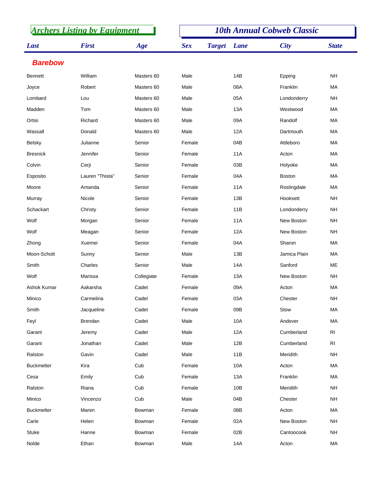| <b>Archers Listing by Equipment</b> |                 |            | <b>10th Annual Cobweb Classic</b> |               |            |                   |              |
|-------------------------------------|-----------------|------------|-----------------------------------|---------------|------------|-------------------|--------------|
| Last                                | <b>First</b>    | Age        | <b>Sex</b>                        | <b>Target</b> | Lane       | <b>City</b>       | <b>State</b> |
| <b>Barebow</b>                      |                 |            |                                   |               |            |                   |              |
| <b>Bennett</b>                      | William         | Masters 60 | Male                              |               | 14B        | Epping            | <b>NH</b>    |
| Joyce                               | Robert          | Masters 60 | Male                              |               | 08A        | Franklin          | MA           |
| Lombard                             | Lou             | Masters 60 | Male                              |               | 05A        | Londonderry       | <b>NH</b>    |
| Madden                              | Tom             | Masters 60 | Male                              |               | 13A        | Westwood          | МA           |
| Ortisi                              | Richard         | Masters 60 | Male                              |               | 09A        | Randolf           | MA           |
| Wassall                             | Donald          | Masters 60 | Male                              |               | 12A        | Dartmouth         | МA           |
| <b>Belsky</b>                       | Julianne        | Senior     | Female                            |               | 04B        | Attleboro         | MA           |
| <b>Bresnick</b>                     | Jennifer        | Senior     | Female                            |               | 11A        | Acton             | MA           |
| Colvin                              | Cerji           | Senior     | Female                            |               | 03B        | Holyoke           | MA           |
| Esposito                            | Lauren "Thista" | Senior     | Female                            |               | 04A        | <b>Boston</b>     | МA           |
| Moore                               | Amanda          | Senior     | Female                            |               | <b>11A</b> | Roslingdale       | MA           |
| Murray                              | Nicole          | Senior     | Female                            |               | 13B        | Hooksett          | <b>NH</b>    |
| Schackart                           | Christy         | Senior     | Female                            |               | 11B        | Londonderry       | <b>NH</b>    |
| Wolf                                | Morgan          | Senior     | Female                            |               | 11A        | New Boston        | <b>NH</b>    |
| Wolf                                | Meagan          | Senior     | Female                            |               | 12A        | New Boston        | <b>NH</b>    |
| Zhong                               | Xuemei          | Senior     | Female                            |               | 04A        | Sharon            | МA           |
| Moon-Schott                         | Sunny           | Senior     | Male                              |               | 13B        | Jamica Plain      | MA           |
| Smith                               | Charles         | Senior     | Male                              |               | 14A        | Sanford           | ME           |
| Wolf                                | Marissa         | Collegiate | Female                            |               | 13A        | <b>New Boston</b> | <b>NH</b>    |
| Ashok Kumar                         | Aakarsha        | Cadet      | Female                            |               | 09A        | Acton             | MA           |
| Minico                              | Carmelina       | Cadet      | Female                            |               | 03A        | Chester           | <b>NH</b>    |
| Smith                               | Jacqueline      | Cadet      | Female                            |               | 09B        | Stow              | MA           |
| Feyl                                | Brendan         | Cadet      | Male                              |               | 10A        | Andover           | MA           |
| Garant                              | Jeremy          | Cadet      | Male                              |               | 12A        | Cumberland        | RI           |
| Garant                              | Jonathan        | Cadet      | Male                              |               | 12B        | Cumberland        | RI           |
| Ralston                             | Gavin           | Cadet      | Male                              |               | 11B        | Meridith          | <b>NH</b>    |
| <b>Buckmelter</b>                   | Kira            | Cub        | Female                            |               | 10A        | Acton             | MA           |
| Cesa                                | Emily           | Cub        | Female                            |               | 13A        | Franklin          | MA           |
| Ralston                             | Riana           | Cub        | Female                            |               | 10B        | Meridith          | <b>NH</b>    |
| Minico                              | Vincenzo        | Cub        | Male                              |               | 04B        | Chester           | <b>NH</b>    |
| <b>Buckmelter</b>                   | Maren           | Bowman     | Female                            |               | 08B        | Acton             | MA           |
| Carle                               | Helen           | Bowman     | Female                            |               | 02A        | New Boston        | <b>NH</b>    |
| Stuke                               | Hanne           | Bowman     | Female                            |               | 02B        | Cantoocook        | <b>NH</b>    |
| Nolde                               | Ethan           | Bowman     | Male                              |               | 14A        | Acton             | MA           |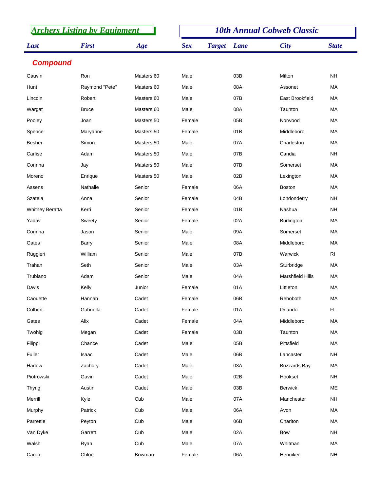| <b>Archers Listing by Equipment</b> |                |            | <b>10th Annual Cobweb Classic</b> |               |      |                         |                |  |
|-------------------------------------|----------------|------------|-----------------------------------|---------------|------|-------------------------|----------------|--|
| Last                                | <b>First</b>   | Age        | <b>Sex</b>                        | <b>Target</b> | Lane | <b>City</b>             | <b>State</b>   |  |
| <b>Compound</b>                     |                |            |                                   |               |      |                         |                |  |
| Gauvin                              | Ron            | Masters 60 | Male                              |               | 03B  | Milton                  | <b>NH</b>      |  |
| Hunt                                | Raymond "Pete" | Masters 60 | Male                              |               | 08A  | Assonet                 | MA             |  |
| Lincoln                             | Robert         | Masters 60 | Male                              |               | 07B  | <b>East Brookfield</b>  | MA             |  |
| Wargat                              | <b>Bruce</b>   | Masters 60 | Male                              |               | 08A  | Taunton                 | MA             |  |
| Pooley                              | Joan           | Masters 50 | Female                            |               | 05B  | Norwood                 | MA             |  |
| Spence                              | Maryanne       | Masters 50 | Female                            |               | 01B  | Middleboro              | MA             |  |
| <b>Besher</b>                       | Simon          | Masters 50 | Male                              |               | 07A  | Charleston              | MA             |  |
| Carlise                             | Adam           | Masters 50 | Male                              |               | 07B  | Candia                  | <b>NH</b>      |  |
| Corinha                             | Jay            | Masters 50 | Male                              |               | 07B  | Somerset                | MA             |  |
| Moreno                              | Enrique        | Masters 50 | Male                              |               | 02B  | Lexington               | MA             |  |
| Assens                              | Nathalie       | Senior     | Female                            |               | 06A  | <b>Boston</b>           | MA             |  |
| Szatela                             | Anna           | Senior     | Female                            |               | 04B  | Londonderry             | <b>NH</b>      |  |
| <b>Whitney Beratta</b>              | Kerri          | Senior     | Female                            |               | 01B  | Nashua                  | <b>NH</b>      |  |
| Yadav                               | Sweety         | Senior     | Female                            |               | 02A  | Burlington              | MA             |  |
| Corinha                             | Jason          | Senior     | Male                              |               | 09A  | Somerset                | MA             |  |
| Gates                               | Barry          | Senior     | Male                              |               | 08A  | Middleboro              | MA             |  |
| Ruggieri                            | William        | Senior     | Male                              |               | 07B  | Warwick                 | R <sub>l</sub> |  |
| Trahan                              | Seth           | Senior     | Male                              |               | 03A  | Sturbridge              | MA             |  |
| Trubiano                            | Adam           | Senior     | Male                              |               | 04A  | <b>Marshfield Hills</b> | MA             |  |
| Davis                               | Kelly          | Junior     | Female                            |               | 01A  | Littleton               | МA             |  |
| Caouette                            | Hannah         | Cadet      | Female                            |               | 06B  | Rehoboth                | MA             |  |
| Colbert                             | Gabriella      | Cadet      | Female                            |               | 01A  | Orlando                 | <b>FL</b>      |  |
| Gates                               | Alix           | Cadet      | Female                            |               | 04A  | Middleboro              | MA             |  |
| Twohig                              | Megan          | Cadet      | Female                            |               | 03B  | Taunton                 | MA             |  |
| Filippi                             | Chance         | Cadet      | Male                              |               | 05B  | Pittsfield              | MA             |  |
| Fuller                              | Isaac          | Cadet      | Male                              |               | 06B  | Lancaster               | <b>NH</b>      |  |
| Harlow                              | Zachary        | Cadet      | Male                              |               | 03A  | <b>Buzzards Bay</b>     | МA             |  |
| Piotrowski                          | Gavin          | Cadet      | Male                              |               | 02B  | Hookset                 | <b>NH</b>      |  |
| Thyng                               | Austin         | Cadet      | Male                              |               | 03B  | <b>Berwick</b>          | ME             |  |
| Merrill                             | Kyle           | Cub        | Male                              |               | 07A  | Manchester              | <b>NH</b>      |  |
| Murphy                              | Patrick        | Cub        | Male                              |               | 06A  | Avon                    | MA             |  |
| Parrettie                           | Peyton         | Cub        | Male                              |               | 06B  | Charlton                | MA             |  |
| Van Dyke                            | Garrett        | Cub        | Male                              |               | 02A  | <b>Bow</b>              | <b>NH</b>      |  |
| Walsh                               | Ryan           | Cub        | Male                              |               | 07A  | Whitman                 | MA             |  |
| Caron                               | Chloe          | Bowman     | Female                            |               | 06A  | Henniker                | <b>NH</b>      |  |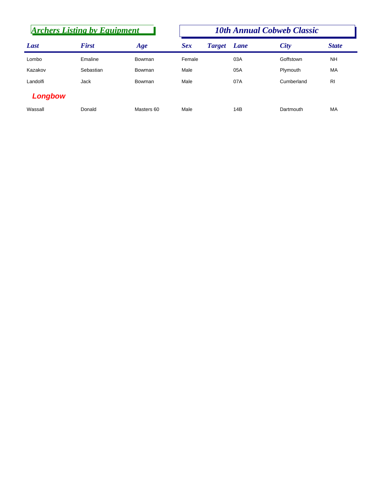| <b>Archers Listing by Equipment</b> |              |            | <b>10th Annual Cobweb Classic</b> |               |             |             |              |  |
|-------------------------------------|--------------|------------|-----------------------------------|---------------|-------------|-------------|--------------|--|
| Last                                | <b>First</b> | Age        | <b>Sex</b>                        | <b>Target</b> | <b>Lane</b> | <b>City</b> | <b>State</b> |  |
| Lombo                               | Emaline      | Bowman     | Female                            |               | 03A         | Goffstown   | <b>NH</b>    |  |
| Kazakov                             | Sebastian    | Bowman     | Male                              |               | 05A         | Plymouth    | <b>MA</b>    |  |
| Landolfi                            | Jack         | Bowman     | Male                              |               | 07A         | Cumberland  | <b>RI</b>    |  |
| Longbow                             |              |            |                                   |               |             |             |              |  |
| Wassall                             | Donald       | Masters 60 | Male                              |               | 14B         | Dartmouth   | MA           |  |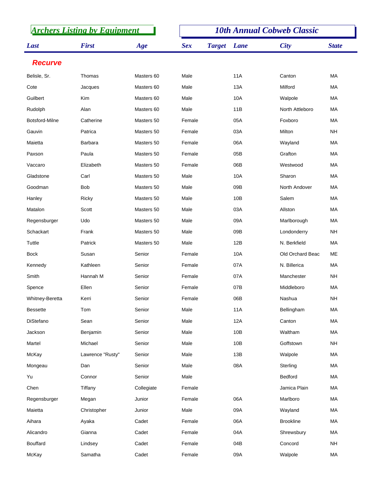| <b>Archers Listing by Equipment</b> |                  |            | <b>10th Annual Cobweb Classic</b> |               |             |                  |              |
|-------------------------------------|------------------|------------|-----------------------------------|---------------|-------------|------------------|--------------|
| Last                                | <b>First</b>     | Age        | <b>Sex</b>                        | <b>Target</b> | <b>Lane</b> | <b>City</b>      | <b>State</b> |
| <b>Recurve</b>                      |                  |            |                                   |               |             |                  |              |
| Belisle, Sr.                        | Thomas           | Masters 60 | Male                              |               | <b>11A</b>  | Canton           | MA           |
| Cote                                | Jacques          | Masters 60 | Male                              |               | 13A         | Milford          | МA           |
| Guilbert                            | <b>Kim</b>       | Masters 60 | Male                              |               | 10A         | Walpole          | MA           |
| Rudolph                             | Alan             | Masters 60 | Male                              |               | 11B         | North Attleboro  | МA           |
| Botsford-Milne                      | Catherine        | Masters 50 | Female                            |               | 05A         | Foxboro          | MA           |
| Gauvin                              | Patrica          | Masters 50 | Female                            |               | 03A         | Milton           | <b>NH</b>    |
| Maietta                             | Barbara          | Masters 50 | Female                            |               | 06A         | Wayland          | MA           |
| Paxson                              | Paula            | Masters 50 | Female                            |               | 05B         | Grafton          | МA           |
| Vaccaro                             | Elizabeth        | Masters 50 | Female                            |               | 06B         | Westwood         | MA           |
| Gladstone                           | Carl             | Masters 50 | Male                              |               | 10A         | Sharon           | МA           |
| Goodman                             | <b>Bob</b>       | Masters 50 | Male                              |               | 09B         | North Andover    | MA           |
| Hanley                              | Ricky            | Masters 50 | Male                              |               | 10B         | Salem            | МA           |
| Matalon                             | Scott            | Masters 50 | Male                              |               | 03A         | Allston          | MA           |
| Regensburger                        | Udo              | Masters 50 | Male                              |               | 09A         | Marlborough      | МA           |
| Schackart                           | Frank            | Masters 50 | Male                              |               | 09B         | Londonderry      | <b>NH</b>    |
| Tuttle                              | Patrick          | Masters 50 | Male                              |               | 12B         | N. Berkfield     | МA           |
| <b>Bock</b>                         | Susan            | Senior     | Female                            |               | 10A         | Old Orchard Beac | ME           |
| Kennedy                             | Kathleen         | Senior     | Female                            |               | 07A         | N. Billerica     | МA           |
| Smith                               | Hannah M         | Senior     | Female                            |               | 07A         | Manchester       | <b>NH</b>    |
| Spence                              | Ellen            | Senior     | Female                            |               | 07B         | Middleboro       | MA           |
| Whitney-Beretta                     | Kerri            | Senior     | Female                            |               | 06B         | Nashua           | <b>NH</b>    |
| <b>Bessette</b>                     | Tom              | Senior     | Male                              |               | <b>11A</b>  | Bellingham       | MA           |
| DiStefano                           | Sean             | Senior     | Male                              |               | 12A         | Canton           | MA           |
| Jackson                             | Benjamin         | Senior     | Male                              |               | 10B         | Waltham          | MA           |
| Martel                              | Michael          | Senior     | Male                              |               | 10B         | Goffstown        | <b>NH</b>    |
| McKay                               | Lawrence "Rusty" | Senior     | Male                              |               | 13B         | Walpole          | MA           |
| Mongeau                             | Dan              | Senior     | Male                              |               | 08A         | Sterling         | MA           |
| Yu                                  | Connor           | Senior     | Male                              |               |             | Bedford          | MA           |
| Chen                                | Tiffany          | Collegiate | Female                            |               |             | Jamica Plain     | MA           |
| Regensburger                        | Megan            | Junior     | Female                            |               | 06A         | Marlboro         | MA           |
| Maietta                             | Christopher      | Junior     | Male                              |               | 09A         | Wayland          | MA           |
| Aihara                              | Ayaka            | Cadet      | Female                            |               | 06A         | <b>Brookline</b> | MA           |
| Alicandro                           | Gianna           | Cadet      | Female                            |               | 04A         | Shrewsbury       | MA           |
| Bouffard                            | Lindsey          | Cadet      | Female                            |               | 04B         | Concord          | <b>NH</b>    |
| McKay                               | Samatha          | Cadet      | Female                            |               | 09A         | Walpole          | MA           |